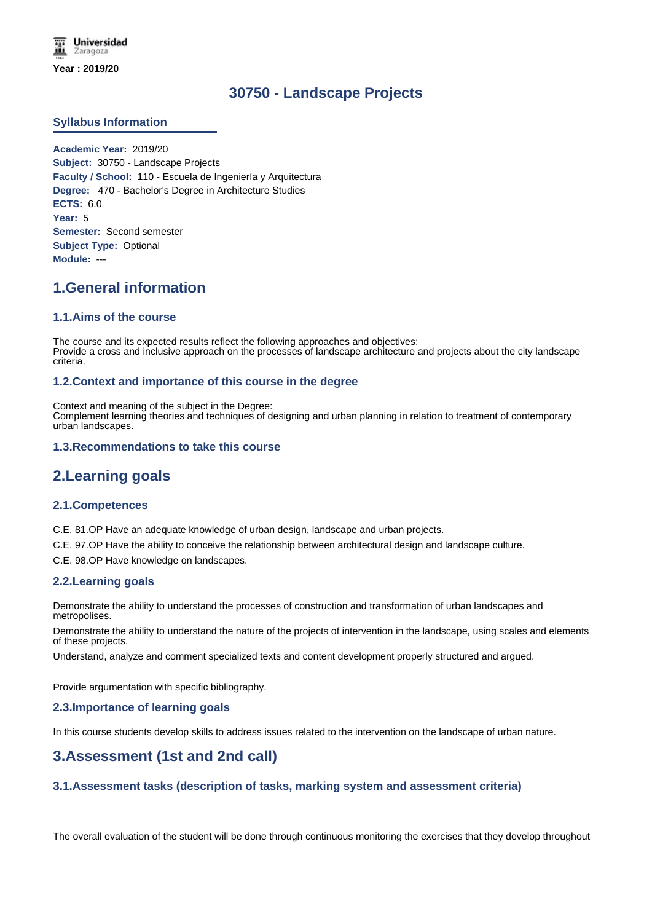# **30750 - Landscape Projects**

## **Syllabus Information**

**Academic Year:** 2019/20 **Subject:** 30750 - Landscape Projects **Faculty / School:** 110 - Escuela de Ingeniería y Arquitectura **Degree:** 470 - Bachelor's Degree in Architecture Studies **ECTS:** 6.0 **Year:** 5 **Semester:** Second semester **Subject Type:** Optional **Module:** ---

# **1.General information**

## **1.1.Aims of the course**

The course and its expected results reflect the following approaches and objectives: Provide a cross and inclusive approach on the processes of landscape architecture and projects about the city landscape criteria.

## **1.2.Context and importance of this course in the degree**

Context and meaning of the subject in the Degree: Complement learning theories and techniques of designing and urban planning in relation to treatment of contemporary urban landscapes.

### **1.3.Recommendations to take this course**

# **2.Learning goals**

### **2.1.Competences**

C.E. 81.OP Have an adequate knowledge of urban design, landscape and urban projects.

C.E. 97.OP Have the ability to conceive the relationship between architectural design and landscape culture.

C.E. 98.OP Have knowledge on landscapes.

### **2.2.Learning goals**

Demonstrate the ability to understand the processes of construction and transformation of urban landscapes and metropolises.

Demonstrate the ability to understand the nature of the projects of intervention in the landscape, using scales and elements of these projects.

Understand, analyze and comment specialized texts and content development properly structured and argued.

Provide argumentation with specific bibliography.

### **2.3.Importance of learning goals**

In this course students develop skills to address issues related to the intervention on the landscape of urban nature.

# **3.Assessment (1st and 2nd call)**

# **3.1.Assessment tasks (description of tasks, marking system and assessment criteria)**

The overall evaluation of the student will be done through continuous monitoring the exercises that they develop throughout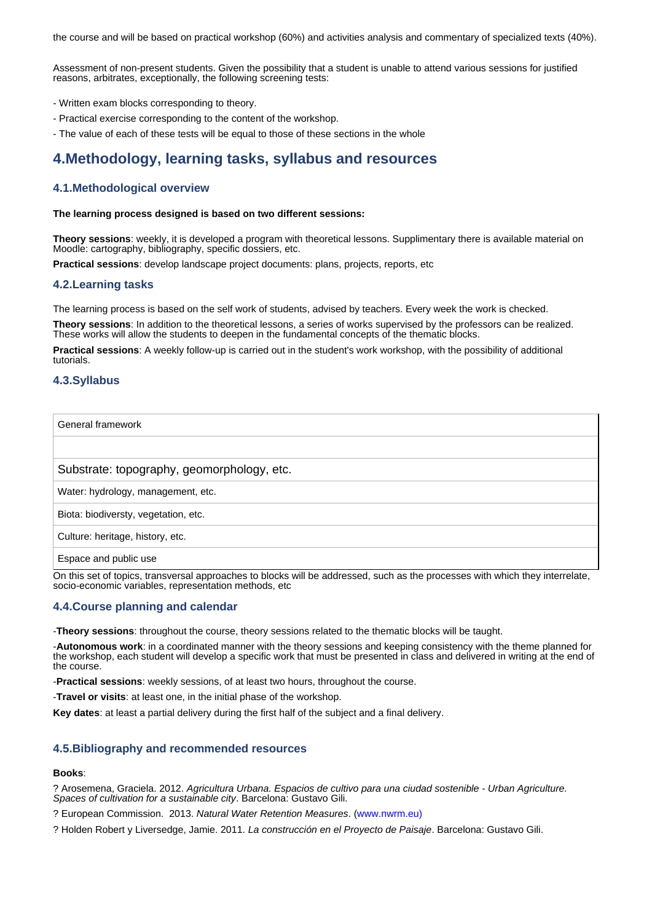the course and will be based on practical workshop (60%) and activities analysis and commentary of specialized texts (40%).

Assessment of non-present students. Given the possibility that a student is unable to attend various sessions for justified reasons, arbitrates, exceptionally, the following screening tests:

- Written exam blocks corresponding to theory.
- Practical exercise corresponding to the content of the workshop.
- The value of each of these tests will be equal to those of these sections in the whole

# **4.Methodology, learning tasks, syllabus and resources**

## **4.1.Methodological overview**

### **The learning process designed is based on two different sessions:**

**Theory sessions**: weekly, it is developed a program with theoretical lessons. Supplimentary there is available material on Moodle: cartography, bibliography, specific dossiers, etc.

**Practical sessions**: develop landscape project documents: plans, projects, reports, etc

### **4.2.Learning tasks**

The learning process is based on the self work of students, advised by teachers. Every week the work is checked.

**Theory sessions**: In addition to the theoretical lessons, a series of works supervised by the professors can be realized. These works will allow the students to deepen in the fundamental concepts of the thematic blocks.

**Practical sessions**: A weekly follow-up is carried out in the student's work workshop, with the possibility of additional tutorials.

## **4.3.Syllabus**

General framework

### Substrate: topography, geomorphology, etc.

Water: hydrology, management, etc.

Biota: biodiversty, vegetation, etc.

Culture: heritage, history, etc.

Espace and public use

On this set of topics, transversal approaches to blocks will be addressed, such as the processes with which they interrelate, socio-economic variables, representation methods, etc

# **4.4.Course planning and calendar**

-**Theory sessions**: throughout the course, theory sessions related to the thematic blocks will be taught.

-**Autonomous work**: in a coordinated manner with the theory sessions and keeping consistency with the theme planned for the workshop, each student will develop a specific work that must be presented in class and delivered in writing at the end of the course.

-**Practical sessions**: weekly sessions, of at least two hours, throughout the course.

-**Travel or visits**: at least one, in the initial phase of the workshop.

**Key dates**: at least a partial delivery during the first half of the subject and a final delivery.

### **4.5.Bibliography and recommended resources**

#### **Books**:

? Arosemena, Graciela. 2012. *Agricultura Urbana. Espacios de cultivo para una ciudad sostenible - Urban Agriculture. Spaces of cultivation for a sustainable city*. Barcelona: Gustavo Gili.

? European Commission. 2013. *Natural Water Retention Measures*. (www.nwrm.eu)

? Holden Robert y Liversedge, Jamie. 2011. *La construcción en el Proyecto de Paisaje*. Barcelona: Gustavo Gili.